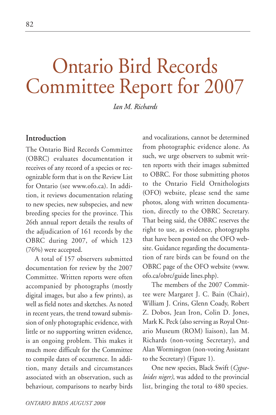# Ontario Bird Records Committee Report for 2007

*Ian M. Richards*

# **Introduction**

The Ontario Bird Records Committee (OBRC) evaluates documentation it receives of any record of a species or recognizable form that is on the Review List for Ontario (see www.ofo.ca). In addition, it reviews documentation relating to new species, new subspecies, and new breeding species for the province. This 26th annual report details the results of the adjudication of 161 records by the OBRC during 2007, of which 123 (76%) were accepted.

A total of 157 observers submitted documentation for review by the 2007 Committee. Written reports were often accompanied by photographs (mostly digital images, but also a few prints), as well as field notes and sketches. As noted in recent years, the trend toward submission of only photographic evidence, with little or no supporting written evidence, is an ongoing problem. This makes it much more difficult for the Committee to compile dates of occurrence. In addition, many details and circumstances associated with an observation, such as behaviour, comparisons to nearby birds and vocalizations, cannot be determined from photographic evidence alone. As such, we urge observers to submit written reports with their images submitted to OBRC. For those submitting photos to the Ontario Field Ornithologists (OFO) website, please send the same photos, along with written documentation, directly to the OBRC Secretary. That being said, the OBRC reserves the right to use, as evidence, photographs that have been posted on the OFO website. Guidance regarding the documentation of rare birds can be found on the OBRC page of the OFO website (www. ofo.ca/obrc/guide lines.php).

The members of the 2007 Committee were Margaret J. C. Bain (Chair), William J. Crins, Glenn Coady, Robert Z. Dobos, Jean Iron, Colin D. Jones, Mark K. Peck (also serving as Royal Ontario Museum (ROM) liaison), Ian M. Richards (non-voting Secretary), and Alan Wormington (non-voting Assistant to the Secretary) (Figure 1).

One new species, Black Swift (*Cypseloides niger)*, was added to the provincial list, bringing the total to 480 species.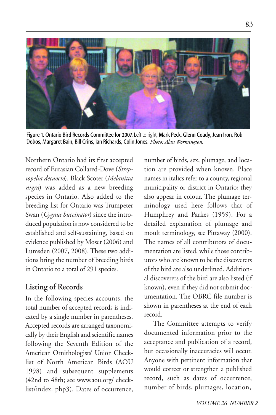

Figure 1. Ontario Bird Records Committee for 2007. Left to right, Mark Peck, Glenn Coady, Jean Iron, Rob Dobos, Margaret Bain, Bill Crins, Ian Richards, Colin Jones. *Photo: Alan Wormington.*

Northern Ontario had its first accepted record of Eurasian Collared-Dove (*Streptopelia decaocto*). Black Scoter (*Melanitta nigra*) was added as a new breeding species in Ontario. Also added to the breeding list for Ontario was Trumpeter Swan (*Cygnus buccinator*) since the introduced population is now considered to be established and self-sustaining, based on evidence published by Moser (2006) and Lumsden (2007, 2008). These two additions bring the number of breeding birds in Ontario to a total of 291 species.

# **Listing of Records**

In the following species accounts, the total number of accepted records is indicated by a single number in parentheses. Accepted records are arranged taxonomically by their English and scientific names following the Seventh Edition of the American Ornithologists' Union Checklist of North American Birds (AOU 1998) and subsequent supplements (42nd to 48th; see www.aou.org/ checklist/index. php3). Dates of occurrence,

number of birds, sex, plumage, and location are provided when known. Place names in italics refer to a county, regional municipality or district in Ontario; they also appear in colour. The plumage terminology used here follows that of Humphrey and Parkes (1959). For a detailed explanation of plumage and moult terminology, see Pittaway (2000). The names of all contributors of documentation are listed, while those contributors who are known to be the discoverers of the bird are also underlined. Additional discoverers of the bird are also listed (if known), even if they did not submit documentation. The OBRC file number is shown in parentheses at the end of each record.

The Committee attempts to verify documented information prior to the acceptance and publication of a record, but occasionally inaccuracies will occur. Anyone with pertinent information that would correct or strengthen a published record, such as dates of occurrence, number of birds, plumages, location,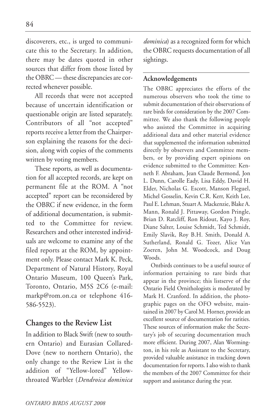discoverers, etc., is urged to communicate this to the Secretary. In addition, there may be dates quoted in other sources that differ from those listed by the OBRC — these discrepancies are corrected whenever possible.

All records that were not accepted because of uncertain identification or questionable origin are listed separately. Contributors of all "not accepted" reports receive a letter from the Chairperson explaining the reasons for the decision, along with copies of the comments written by voting members.

These reports, as well as documentation for all accepted records, are kept on permanent file at the ROM. A "not accepted" report can be reconsidered by the OBRC if new evidence, in the form of additional documentation, is submitted to the Committee for review. Researchers and other interested individuals are welcome to examine any of the filed reports at the ROM, by appointment only. Please contact Mark K. Peck, Department of Natural History, Royal Ontario Museum, 100 Queen's Park, Toronto, Ontario, M5S 2C6 (e-mail: markp@rom.on.ca or telephone 416- 586-5523).

# **Changes to the Review List**

In addition to Black Swift (new to southern Ontario) and Eurasian Collared-Dove (new to northern Ontario), the only change to the Review List is the addition of "Yellow-lored" Yellowthroated Warbler (*Dendroica dominica* *dominica*) as a recognized form for which the OBRC requests documentation of all sightings.

# **Acknowledgements**

The OBRC appreciates the efforts of the numerous observers who took the time to submit documentation of their observations of rare birds for consideration by the 2007 Committee. We also thank the following people who assisted the Committee in acquiring additional data and other material evidence that supplemented the information submitted directly by observers and Committee members, or by providing expert opinions on evidence submitted to the Committee: Kenneth F. Abraham, Jean Claude Bermond, Jon L. Dunn, Carolle Eady, Lisa Eddy, David H. Elder, Nicholas G. Escott, Manson Fleguel, Michel Gosselin, Kevin C.R. Kerr, Keith Lee, Paul E. Lehman, Stuart A. Mackenzie, Blake A. Mann, Ronald J. Pittaway, Gordon Pringle, Brian D. Ratcliff, Ron Ridout, Kayo J. Roy, Diane Salter, Louise Schmidt, Ted Schmidt, Emily Slavik, Roy B.H. Smith, Donald A. Sutherland, Ronald G. Tozer, Alice Van Zoeren, John M. Woodcock, and Doug Woods.

Ontbirds continues to be a useful source of information pertaining to rare birds that appear in the province; this listserve of the Ontario Field Ornithologists is moderated by Mark H. Cranford. In addition, the photographic pages on the OFO website, maintained in 2007 by Carol M. Horner, provide an excellent source of documentation for rarities. These sources of information make the Secretary's job of securing documentation much more efficient. During 2007, Alan Wormington, in his role as Assistant to the Secretary, provided valuable assistance in tracking down documentation for reports. I also wish to thank the members of the 2007 Committee for their support and assistance during the year.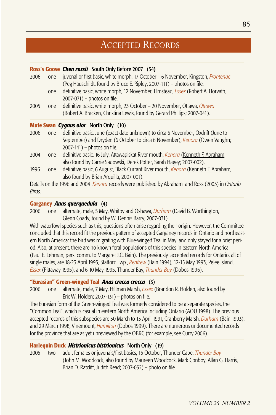# ACCEPTED RECORDS

#### **Ross's Goose** *Chen rossii* South Only Before 2007 (54**)**

2006 one juvenal or first basic, white morph, 17 October – 6 November, Kingston, *Frontenac* (Peg Hauschildt, found by Bruce E. Ripley; 2007-111) – photos on file. one definitive basic, white morph, 12 November, Elmstead, *Essex* (Robert A. Horvath; 2007-071) – photos on file. 2005 one definitive basic, white morph, 23 October – 20 November, Ottawa, *Ottawa*

# (Robert A. Bracken, Christina Lewis, found by Gerard Phillips; 2007-041).

#### **Mute Swan** *Cygnus olor* North Only (10)

- 2006 one definitive basic, June (exact date unknown) to circa 6 November, Oxdrift (June to September) and Dryden (6 October to circa 6 November), *Kenora* (Owen Vaughn; 2007-141) – photos on file.
- 2004 one definitive basic, 16 July, Attawapiskat River mouth, *Kenora* (Kenneth F. Abraham, also found by Carrie Sadowski, Derek Potter, Sarah Hagey; 2007-002).
- 1996 one definitive basic, 6 August, Black Currant River mouth, *Kenora* (Kenneth F. Abraham, also found by Brian Arquilla; 2007-001).

Details on the 1996 and 2004 *Kenora* records were published by Abraham and Ross (2005) in *Ontario Birds*.

#### **Garganey** *Anas querquedula* (4)

2006 one alternate, male, 5 May, Whitby and Oshawa, *Durham* (David B. Worthington, Glenn Coady, found by W. Dennis Barry; 2007-031).

With waterfowl species such as this, questions often arise regarding their origin. However, the Committee concluded that this record fit the previous pattern of accepted Garganey records in Ontario and northeastern North America: the bird was migrating with Blue-winged Teal in May, and only stayed for a brief period. Also, at present, there are no known feral populations of this species in eastern North America (Paul E. Lehman, pers. comm. to Margaret J.C. Bain). The previously accepted records for Ontario, all of single males, are 18-23 April 1993, Stafford Twp., *Renfrew* (Bain 1994), 12-15 May 1993, Pelee Island, *Essex* (Pittaway 1995), and 6-10 May 1995, Thunder Bay, *Thunder Bay* (Dobos 1996).

#### **"Eurasian" Green-winged Teal** *Anas crecca crecca* (3)

2006 one alternate, male, 7 May, Hillman Marsh, *Essex* (Brandon R. Holden, also found by Eric W. Holden; 2007-131) – photos on file.

The Eurasian form of the Green-winged Teal was formerly considered to be a separate species, the "Common Teal", which is casual in eastern North America including Ontario (AOU 1998). The previous accepted records of this subspecies are 30 March to 13 April 1991, Cranberry Marsh, *Durham* (Bain 1993), and 29 March 1998, Vinemount, *Hamilton* (Dobos 1999). There are numerous undocumented records for the province that are as yet unreviewed by the OBRC (for example, see Curry 2006).

#### **Harlequin Duck** *Histrionicus histrionicus* North Only (19)

2005 two adult females or juvenals/first basics, 15 October, Thunder Cape, *Thunder Bay*  (John M. Woodcock, also found by Maureen Woodcock, Mark Conboy, Allan G. Harris, Brian D. Ratcliff, Judith Read; 2007-032) – photo on file.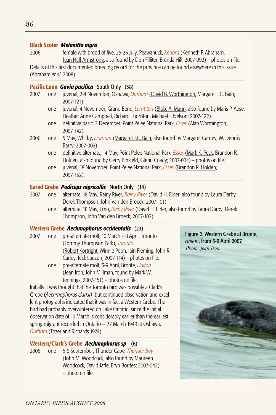#### **Black Scoter** *Melanitta nigra*

2006 female with brood of five, 25-26 July, Peawanuck, *Kenora* (Kenneth F. Abraham, Jean Hall-Armstrong, also found by Don Filliter, Brenda Hill; 2007-092) – photos on file.

Details of this first documented breeding record for the province can be found elsewhere in this issue (Abraham *et al.* 2008).

#### **Pacific Loon** *Gavia pacifica* South Only (38)

- 2007 one juvenal, 2-4 November, Oshawa, *Durham* (David B. Worthington, Margaret J.C. Bain; 2007-121).
	- one juvenal, 4 November, Grand Bend, *Lambton* (Blake A. Mann, also found by Maris P. Apse, Heather Anne Campbell, Richard Thornton, Michael J. Nelson; 2007-122).
	- one definitive basic, 2 December, Point Pelee National Park, *Essex* (Alan Wormington; 2007-142).
- 2006 one 5 May, Whitby, *Durham* (Margaret J.C. Bain, also found by Margaret Carney, W. Dennis Barry; 2007-003).
	- one definitive alternate, 14 May, Point Pelee National Park, *Essex* (Mark K. Peck, Brandon R. Holden, also found by Gerry Binsfeld, Glenn Coady; 2007-004) – photos on file.
	- one juvenal, 18 November, Point Pelee National Park, *Essex* (Brandon R. Holden; 2007-132).

#### **Eared Grebe** *Podiceps nigricollis* North Only (14)

- 2007 one alternate, 18 May, Rainy River, *Rainy River* (David H. Elder, also found by Laura Darby, Derek Thompson, John Van den Broeck; 2007-101).
	- one alternate, 18 May, Emo, *Rainy River* (David H. Elder, also found by Laura Darby, Derek Thompson, John Van den Broeck; 2007-102).

# **Western Grebe** *Aechmophorus occidentalis* (23)

2007 one pre-alternate molt, 10 March – 8 April, Toronto (Tommy Thompson Park), *Toronto* (Robert Kortright, Winnie Poon, Iain Fleming, John R. Carley, Rick Lauzon; 2007-114) – photos on file. one pre-alternate molt, 5-9 April, Bronte, *Halton* (Jean Iron, John Millman, found by Mark W. Jennings; 2007-151) – photos on file.

Initially it was thought that the Toronto bird was possibly a Clark's Grebe (*Aechmophorus clarkii)*, but continued observation and excellent photographs indicated that it was in fact a Western Grebe. The bird had probably overwintered on Lake Ontario, since the initial observation date of 10 March is considerably earlier than the earliest spring migrant recorded in Ontario — 27 March 1949 at Oshawa, *Durham* (Tozer and Richards 1974).

# **Western/Clark's Grebe** *Aechmophorus sp*. (6)

2006 one 5-6 September, Thunder Cape, *Thunder Bay* (John M. Woodcock, also found by Maureen Woodcock, David Jaffe, Eryn Bordes; 2007-042) – photo on file.

Figure 2. Western Grebe at Bronte, *Halton*, from 5-9 April 2007. *Photo: Jean Iron.*

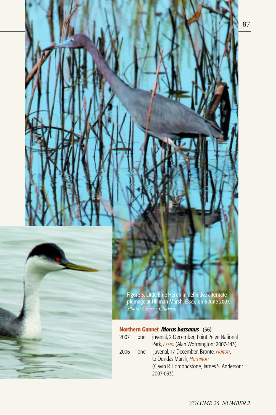87



Figure 3. Little Blue Heron in definitive alternate plumage at Hillman Marsh, *Essex,* on 6 June 2007. *Photo: Cherise Charron.*

# **Northern Gannet** *Morus bassanus* (36)

| 2007 | one  | juvenal, 2 December, Point Pelee National       |
|------|------|-------------------------------------------------|
|      |      | Park, <i>Essex</i> (Alan Wormington; 2007-143). |
| 2006 | one. | juvenal, 17 December, Bronte, <i>Halton</i> ,   |
|      |      | to Dundas Marsh, Hamilton                       |
|      |      | (Gavin R. Edmondstone, James S. Anderson;       |
|      |      | 2007-093).                                      |
|      |      |                                                 |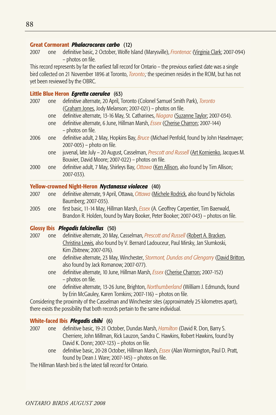#### **Great Cormorant** *Phalacrocorax carbo* (12)

2007 one definitive basic, 2 October, Wolfe Island (Marysville), *Frontenac* (Virginia Clark; 2007-094) – photos on file.

This record represents by far the earliest fall record for Ontario – the previous earliest date was a single bird collected on 21 November 1896 at Toronto, *Toronto;* the specimen resides in the ROM, but has not yet been reviewed by the OBRC.

#### **Little Blue Heron** *Egretta caerulea* (63)

| one | definitive alternate, 20 April, Toronto (Colonel Samuel Smith Park), Toronto                                                                    |
|-----|-------------------------------------------------------------------------------------------------------------------------------------------------|
|     | (Graham Jones, Jody Melanson; 2007-021) - photos on file.                                                                                       |
| one | definitive alternate, 13-16 May, St. Catharines, Niagara (Suzanne Taylor; 2007-034).                                                            |
| one | definitive alternate, 6 June, Hillman Marsh, Essex (Cherise Charron; 2007-144)<br>- photos on file.                                             |
| one | definitive adult, 2 May, Hopkins Bay, Bruce (Michael Penfold, found by John Haselmayer;<br>2007-005) – photo on file.                           |
| one | juvenal, late July - 20 August, Casselman, Prescott and Russell (Art Kornienko, Jacques M.<br>Bouvier, David Moore; 2007-022) - photos on file. |
| one | definitive adult, 7 May, Shirleys Bay, Ottawa (Ken Allison, also found by Tim Allison;<br>2007-033).                                            |
|     |                                                                                                                                                 |

#### **Yellow-crowned Night-Heron** *Nyctanassa violacea* (40)

- 2007 one definitive alternate, 9 April, Ottawa, *Ottawa* (Michele Rodrick, also found by Nicholas Baumberg; 2007-035).
- 2005 one first basic, 11-14 May, Hillman Marsh, *Essex* (A. Geoffrey Carpentier, Tim Baerwald, Brandon R. Holden, found by Mary Booker, Peter Booker; 2007-043) – photos on file.

#### **Glossy Ibis** *Plegadis falcinellus* (50)

- 2007 one definitive alternate, 20 May, Casselman, *Prescott and Russell* (Robert A. Bracken, Christina Lewis, also found by V. Bernard Ladouceur, Paul Mirsky, Jan Slumkoski, Kim Zbitnew; 2007-076).
	- one definitive alternate, 23 May, Winchester, *Stormont, Dundas and Glengarry* (David Britton, also found by Jack Romanow; 2007-077).
	- one definitive alternate, 10 June, Hillman Marsh, *Essex* (Cherise Charron; 2007-152) – photos on file.
	- one definitive alternate, 13-26 June, Brighton, *Northumberland* (William J. Edmunds, found by Erin McGauley, Karen Tomkins; 2007-116) – photos on file.

Considering the proximity of the Casselman and Winchester sites (approximately 25 kilometres apart), there exists the possibility that both records pertain to the same individual.

# **White-faced Ibis** *Plegadis chihi* (6)

2007 one definitive basic, 19-21 October, Dundas Marsh, *Hamilton* (David R. Don, Barry S. Cherriere, John Millman, Rick Lauzon, Sandra C. Hawkins, Robert Hawkins, found by David K. Donn; 2007-123) – photos on file.

one definitive basic, 20-28 October, Hillman Marsh, *Essex* (Alan Wormington, Paul D. Pratt, found by Dean J. Ware; 2007-145) – photos on file.

The Hillman Marsh bird is the latest fall record for Ontario.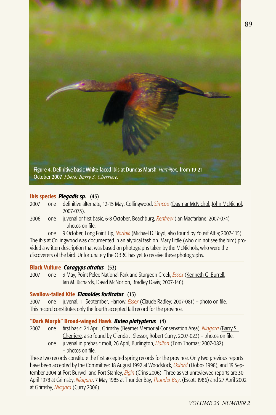

#### **Ibis species** *Plegadis sp.* (43)

| 2007 | one definitive alternate, 12-15 May, Collingwood, Simcoe (Dagmar McNichol, John McNichol; |
|------|-------------------------------------------------------------------------------------------|
|      | $2007 - 073$ ).                                                                           |

2006 one juvenal or first basic, 6-8 October, Beachburg, *Renfrew* (Ian Macfarlane; 2007-074) – photos on file.

one 9 October, Long Point Tip, *Norfolk* (Michael D. Boyd, also found by Yousif Attia; 2007-115). The ibis at Collingwood was documented in an atypical fashion. Mary Little (who did not see the bird) provided a written description that was based on photographs taken by the McNichols, who were the discoverers of the bird. Unfortunately the OBRC has yet to receive these photographs.

### **Black Vulture** *Coragyps atratus* (53)

2007 one 3 May, Point Pelee National Park and Sturgeon Creek, *Essex* (Kenneth G. Burrell, Ian M. Richards, David McNorton, Bradley Davis; 2007-146).

#### **Swallow-tailed Kite** *Elanoides forficatus* (15)

2007 one juvenal, 11 September, Harrow, *Essex* (Claude Radley; 2007-081) – photo on file. This record constitutes only the fourth accepted fall record for the province.

# **"Dark Morph" Broad-winged Hawk** *Buteo platypterus* (4)

- 2007 one first basic, 24 April, Grimsby (Beamer Memorial Conservation Area), *Niagara* (Barry S. Cherriere, also found by Glenda J. Slessor, Robert Curry; 2007-023) – photos on file.
	- one juvenal in prebasic molt, 26 April, Burlington, *Halton* (Tom Thomas; 2007-082) – photos on file.

These two records constitute the first accepted spring records for the province. Only two previous reports have been accepted by the Committee: 18 August 1992 at Woodstock, *Oxford* (Dobos 1998), and 19 September 2004 at Port Burwell and Port Stanley, *Elgin* (Crins 2006). Three as yet unreviewed reports are 30 April 1978 at Grimsby, *Niagara*, 7 May 1985 at Thunder Bay, *Thunder Bay*, (Escott 1986) and 27 April 2002 at Grimsby, *Niagara* (Curry 2006).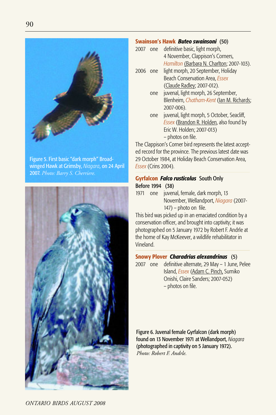

Figure 5. First basic "dark morph" Broadwinged Hawk at Grimsby, *Niagara*, on 24 April 2007. *Photo: Barry S. Cherriere.*



#### **Swainson's Hawk** *Buteo swainsoni* (50)

- 2007 one definitive basic, light morph, 4 November, Clappison's Corners, *Hamilton* (Barbara N. Charlton; 2007-103).
- 2006 one light morph, 20 September, Holiday Beach Conservation Area, *Essex*  (Claude Radley; 2007-012).
	- one juvenal, light morph, 26 September, Blenheim, *Chatham-Kent* (Ian M. Richards; 2007-006).
	- one juvenal, light morph, 5 October, Seacliff, *Essex* (Brandon R. Holden, also found by Eric W. Holden; 2007-013) – photos on file.

The Clappison's Corner bird represents the latest accepted record for the province. The previous latest date was 29 October 1984, at Holiday Beach Conservation Area, *Essex* (Crins 2004).

# **Gyrfalcon** *Falco rusticolus* South Only Before 1994 (38)

1971 one juvenal, female, dark morph, 13 November, Wellandport, *Niagara* (2007- 147) – photo on file.

This bird was picked up in an emaciated condition by a conservation officer, and brought into captivity; it was photographed on 5 January 1972 by Robert F. Andrle at the home of Kay McKeever, a wildlife rehabilitator in Vineland.

# **Snowy Plover** *Charadrius alexandrinus* (5)

2007 one definitive alternate, 29 May – 1 June, Pelee Island, *Essex* (Adam C. Pinch, Sumiko Onishi, Claire Sanders; 2007-052) – photos on file.

Figure 6. Juvenal female Gyrfalcon (dark morph) found on 13 November 1971 at Wellandport, *Niagara* (photographed in captivity on 5 January 1972). *Photo: Robert F. Andrle.*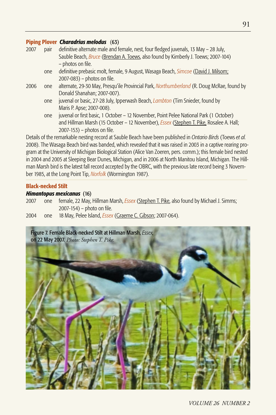#### **Piping Plover** *Charadrius melodus* (63)

| 2007 | pair | definitive alternate male and female, nest, four fledged juvenals, 13 May - 28 July,                        |
|------|------|-------------------------------------------------------------------------------------------------------------|
|      |      | Sauble Beach, Bruce (Brendan A. Toews, also found by Kimberly J. Toews; 2007-104)                           |
|      |      | - photos on file.                                                                                           |
|      | one  | definitive prebasic molt, female, 9 August, Wasaga Beach, Simcoe (David J. Milsom;                          |
|      |      | 2007-083) – photos on file.                                                                                 |
| 2006 | one  | alternate, 29-30 May, Presqu'ile Provincial Park, <i>Northumberland</i> (R. Doug McRae, found by            |
|      |      | Donald Shanahan; 2007-007).                                                                                 |
|      | one  | juvenal or basic, 27-28 July, Ipperwash Beach, <i>Lambton</i> (Tim Snieder, found by                        |
|      |      | Maris P. Apse; 2007-008).                                                                                   |
|      | one  | juvenal or first basic, 1 October - 12 November, Point Pelee National Park (1 October)                      |
|      |      | and Hillman Marsh (15 October - 12 November), <i>Essex</i> (Stephen T. Pike, Rosalee A. Hall;               |
|      |      | $2007-153$ ) – photos on file.                                                                              |
|      |      | Details of the remarkable nesting record at Sauble Reach have been published in Ontario Rirds (Toews et al. |

Details of the remarkable nesting record at Sauble Beach have been published in *Ontario Birds* (Toews *et al.* 2008). The Wasaga Beach bird was banded, which revealed that it was raised in 2003 in a captive rearing program at the University of Michigan Biological Station (Alice Van Zoeren, pers. comm.); this female bird nested in 2004 and 2005 at Sleeping Bear Dunes, Michigan, and in 2006 at North Manitou Island, Michigan. The Hillman Marsh bird is the latest fall record accepted by the OBRC, with the previous late record being 3 November 1985, at the Long Point Tip, *Norfolk* (Wormington 1987).

#### **Black-necked Stilt**

#### *Himantopus mexicanus* (16)

- 2007 one female, 22 May, Hillman Marsh, *Essex* (Stephen T. Pike, also found by Michael J. Simms; 2007-154) – photo on file.
- 2004 one 18 May, Pelee Island, *Essex* (Graeme C. Gibson; 2007-064).

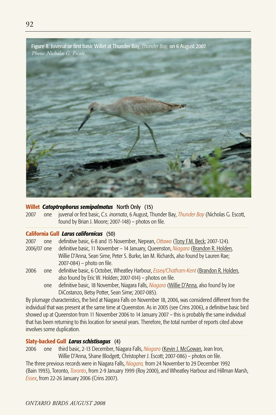

#### **Willet** *Catoptrophorus semipalmatus* North Only (15)

2007 one juvenal or first basic, *C.s. inornata*, 6 August, Thunder Bay, *Thunder Bay* (Nicholas G. Escott, found by Brian J. Moore; 2007-148) – photos on file.

# **California Gull** *Larus californicus* (50)

2007 one definitive basic, 6-8 and 15 November, Nepean, *Ottawa* (Tony F.M. Beck; 2007-124).

- 2006/07 one definitive basic, 11 November 14 January, Queenston, *Niagara* (Brandon R. Holden, Willie D'Anna, Sean Sime, Peter S. Burke, Ian M. Richards, also found by Lauren Rae; 2007-084) – photo on file.
- 2006 one definitive basic, 6 October, Wheatley Harbour, *Essex/Chatham-Kent* (Brandon R. Holden, also found by Eric W. Holden; 2007-014) – photos on file.
	- one definitive basic, 18 November, Niagara Falls, *Niagara* (Willie D'Anna, also found by Joe DiCostanzo, Betsy Potter, Sean Sime; 2007-085).

By plumage characteristics, the bird at Niagara Falls on November 18, 2006, was considered different from the individual that was present at the same time at Queenston. As in 2005 (see Crins 2006), a definitive basic bird showed up at Queenston from 11 November 2006 to 14 January 2007 – this is probably the same individual that has been returning to this location for several years. Therefore, the total number of reports cited above involves some duplication.

#### **Slaty-backed Gull** *Larus schistisagus* (4)

2006 one third basic, 2-13 December, Niagara Falls, *Niagara* (Kevin J. McGowan, Jean Iron, Willie D'Anna, Shane Blodgett, Christopher J. Escott; 2007-086) – photos on file.

The three previous records were in Niagara Falls, *Niagara,* from 24 November to 29 December 1992 (Bain 1993), Toronto, *Toronto*, from 2-9 January 1999 (Roy 2000), and Wheatley Harbour and Hillman Marsh, *Essex*, from 22-26 January 2006 (Crins 2007).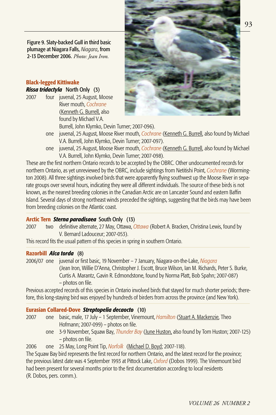Figure 9. Slaty-backed Gull in third basic plumage at Niagara Falls, *Niagara*, from 2-13 December 2006. *Photo: Jean Iron.*

#### **Black-legged Kittiwake** *Rissa tridactyla* North Only (3)

- 2007 four juvenal, 25 August, Moose
- River mouth, *Cochrane*  (Kenneth G. Burrell, also found by Michael V.A.



- Burrell, John Klymko, Devin Turner; 2007-096). one juvenal, 25 August, Moose River mouth, *Cochrane* (Kenneth G. Burrell, also found by Michael V.A. Burrell, John Klymko, Devin Turner; 2007-097).
- one juvenal, 25 August, Moose River mouth, *Cochrane* (Kenneth G. Burrell, also found by Michael V.A. Burrell, John Klymko, Devin Turner; 2007-098).

These are the first northern Ontario records to be accepted by the OBRC. Other undocumented records for northern Ontario, as yet unreviewed by the OBRC, include sightings from Netitishi Point, *Cochrane* (Wormington 2008). All three sightings involved birds that were apparently flying southwest up the Moose River in separate groups over several hours, indicating they were all different individuals. The source of these birds is not known, as the nearest breeding colonies in the Canadian Arctic are on Lancaster Sound and eastern Baffin Island. Several days of strong northeast winds preceded the sightings, suggesting that the birds may have been from breeding colonies on the Atlantic coast.

# **Arctic Tern** *Sterna paradisaea* South Only (13)

2007 two definitive alternate, 27 May, Ottawa, *Ottawa* (Robert A. Bracken, Christina Lewis, found by V. Bernard Ladouceur; 2007-053).

This record fits the usual pattern of this species in spring in southern Ontario.

#### **Razorbill** *Alca torda* (8)

2006/07 one juvenal or first basic, 19 November – 7 January, Niagara-on-the-Lake, *Niagara* (Jean Iron, Willie D'Anna, Christopher J. Escott, Bruce Wilson, Ian M. Richards, Peter S. Burke, Curtis A. Marantz, Gavin R. Edmondstone, found by Norma Platt, Bob Spahn; 2007-087) – photos on file.

Previous accepted records of this species in Ontario involved birds that stayed for much shorter periods; therefore, this long-staying bird was enjoyed by hundreds of birders from across the province (and New York).

# **Eurasian Collared-Dove** *Streptopelia decaocto* (10)

- 2007 one basic, male, 17 July 1 September, Vinemount, *Hamilton* (Stuart A. Mackenzie, Theo Hofmann; 2007-099) – photos on file.
	- one 3-9 November, Squaw Bay, *Thunder Bay* (June Huston, also found by Tom Huston; 2007-125) – photos on file.
- 2006 one 25 May, Long Point Tip, *Norfolk* (Michael D. Boyd; 2007-118).

The Squaw Bay bird represents the first record for northern Ontario, and the latest record for the province; the previous latest date was 4 September 1993 at Pittock Lake, *Oxford* (Dobos 1999). The Vinemount bird had been present for several months prior to the first documentation according to local residents (R. Dobos, pers. comm.).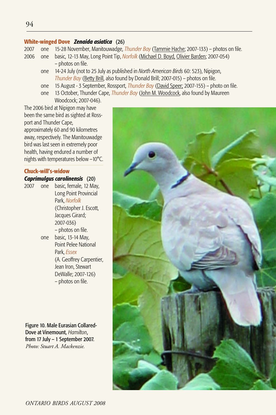# **White-winged Dove** *Zenaida asiatica* (26)

- 2007 one 15-28 November, Manitouwadge, *Thunder Bay* (Tammie Hache; 2007-133) photos on file.
- 2006 one basic, 12-13 May, Long Point Tip, *Norfolk* (Michael D. Boyd, Olivier Barden; 2007-054) – photos on file.
	- one 14-24 July (not to 25 July as published in *North American Birds* 60: 523), Nipigon, *Thunder Bay* (Betty Brill, also found by Donald Brill; 2007-015) – photos on file.
	- one 15 August 3 September, Rossport, *Thunder Bay* (David Speer; 2007-155) photo on file.
	- one 13 October, Thunder Cape, *Thunder Bay* (John M. Woodcock, also found by Maureen Woodcock; 2007-046).

The 2006 bird at Nipigon may have been the same bird as sighted at Rossport and Thunder Cape, approximately 60 and 90 kilometres away, respectively. The Manitouwadge bird was last seen in extremely poor health, having endured a number of nights with temperatures below –10°C.

# **Chuck-will's-widow**

# *Caprimulgus carolinensis* (20)

2007 one basic, female, 12 May, Long Point Provincial Park, *Norfolk*  (Christopher J. Escott, Jacques Girard; 2007-036) – photos on file. one basic, 13-14 May, Point Pelee National Park, *Essex*  (A. Geoffrey Carpentier, Jean Iron, Stewart DeWalle; 2007-126) – photos on file.

Figure 10. Male Eurasian Collared-Dove at Vinemount, *Hamilton*, from 17 July – 1 September 2007. *Photo: Stuart A. Mackenzie.*

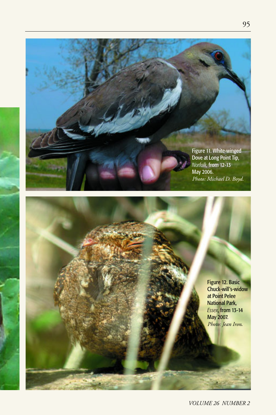

Figure 12. Basic Chuck-will's-widow at Point Pelee National Park, *Essex*, from 13-14 May 2007. *Photo: Jean Iron*.

*VOLUME 26 NUMBER 2*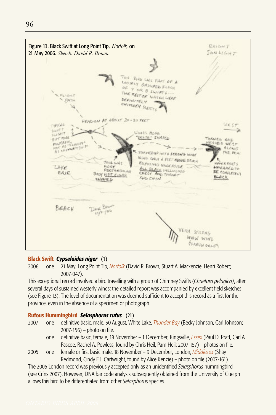

#### **Black Swift** *Cypseloides niger* (1)

2006 one 21 May, Long Point Tip, *Norfolk* (David R. Brown, Stuart A. Mackenzie, Henri Robert; 2007-047).

This exceptional record involved a bird travelling with a group of Chimney Swifts (*Chaetura pelagica)*, after several days of sustained westerly winds; the detailed report was accompanied by excellent field sketches (see Figure 13). The level of documentation was deemed sufficient to accept this record as a first for the province, even in the absence of a specimen or photograph.

#### **Rufous Hummingbird** *Selasphorus rufus* (21)

| 2007 | one definitive basic, male, 30 August, White Lake, <i>Thunder Bay</i> (Becky Johnson, Carl Johnson; |
|------|-----------------------------------------------------------------------------------------------------|
|      | $2007 - 156$ ) – photo on file.                                                                     |
|      | definitive basis female 10 November 1 Desember Vingeuille Essex (Dayl D. Draft, Carl A              |

- one definitive basic, female, 18 November 1 December, Kingsville, *Essex* (Paul D. Pratt, Carl A. Pascoe, Rachel A. Powless, found by Chris Heil, Pam Heil; 2007-157) – photos on file.
- 2005 one female or first basic male, 18 November 9 December, London, *Middlesex* (Shay Redmond, Cindy E.J. Cartwright, found by Alice Kenzie) – photo on file (2007-161).

The 2005 London record was previously accepted only as an unidentified *Selasphorus* hummingbird (see Crins 2007). However, DNA bar code analysis subsequently obtained from the University of Guelph allows this bird to be differentiated from other *Selasphorus* species.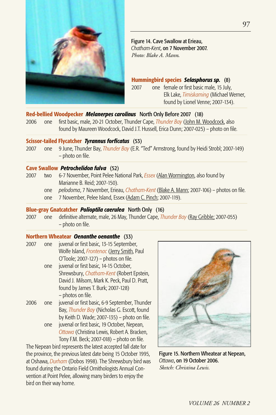

Figure 14. Cave Swallow at Erieau, *Chatham-Kent*, on 7 November 2007. *Photo: Blake A. Mann*.

**Hummingbird species** *Selasphorus sp.* (8) 2007 one female or first basic male, 15 July, Elk Lake, *Timiskaming* (Michael Werner, found by Lionel Venne; 2007-134).

#### **Red-bellied Woodpecker** *Melanerpes carolinus* North Only Before 2007 (18)

2006 one first basic, male, 20-21 October, Thunder Cape, *Thunder Bay* (John M. Woodcock, also found by Maureen Woodcock, David J.T. Hussell, Erica Dunn; 2007-025) – photo on file.

#### **Scissor-tailed Flycatcher** *Tyrannus forficatus* (53)

2007 one 9 June, Thunder Bay, *Thunder Bay* (E.R. "Ted" Armstrong, found by Heidi Strobl; 2007-149) – photo on file.

#### **Cave Swallow** *Petrochelidon fulva* (52)

- 2007 two 6-7 November, Point Pelee National Park, *Essex* (Alan Wormington, also found by Marianne B. Reid; 2007-150).
	- one *pelodoma*, 7 November, Erieau, *Chatham-Kent* (Blake A. Mann; 2007-106) photos on file.
	- one 7 November, Pelee Island, Essex (Adam C. Pinch; 2007-119).

#### **Blue-gray Gnatcatcher** *Polioptila caerulea* North Only (16)

2007 one definitive alternate, male, 26 May, Thunder Cape, *Thunder Bay* (Ray Gribble; 2007-055) – photo on file.

#### **Northern Wheatear** *Oenanthe oenanthe* (33)

2007 one juvenal or first basic, 13-15 September, Wolfe Island, *Frontenac* (Jerry Smith, Paul O'Toole; 2007-127) – photos on file. one juvenal or first basic, 14-15 October, Shrewsbury, *Chatham-Kent* (Robert Epstein, David J. Milsom, Mark K. Peck, Paul D. Pratt, found by James T. Burk; 2007-128) – photos on file. 2006 one juvenal or first basic, 6-9 September, Thunder

Bay, *Thunder Bay* (Nicholas G. Escott, found by Keith D. Wade; 2007-135) – photo on file. one juvenal or first basic, 19 October, Nepean, *Ottawa* (Christina Lewis, Robert A. Bracken, Tony F.M. Beck; 2007-018) – photo on file.

The Nepean bird represents the latest accepted fall date for the province, the previous latest date being 15 October 1995, at Oshawa, *Durham* (Dobos 1998). The Shrewsbury bird was found during the Ontario Field Ornithologists Annual Convention at Point Pelee, allowing many birders to enjoy the bird on their way home.



Figure 15. Northern Wheatear at Nepean, *Ottawa*, on 19 October 2006. *Sketch: Christina Lewis.*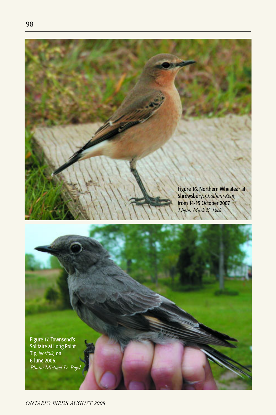

Figure 17. Townsend's Solitaire at Long Point Tip, *Norfolk,* on 6 June 2006. *Photo: Michael D. Boyd.*

*ONTARIO BIRDS AUGUST 2008*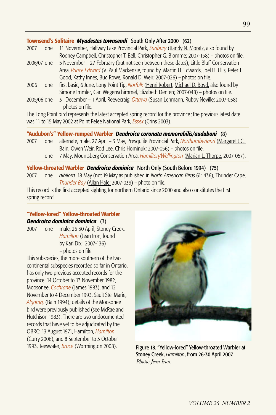#### **Townsend's Solitaire** *Myadestes townsendi* South Only After 2000 (62)

| 2007        | one  | 11 November, Halfway Lake Provincial Park, <i>Sudbury</i> (Randy N. Moratz, also found by   |
|-------------|------|---------------------------------------------------------------------------------------------|
|             |      | Rodney Campbell, Christopher T. Bell, Christopher G. Blomme; 2007-158) - photos on file.    |
| 2006/07 one |      | 5 November – 27 February (but not seen between these dates), Little Bluff Conservation      |
|             |      | Area, Prince Edward (V. Paul Mackenzie, found by Martin H. Edwards, Joel H. Ellis, Peter J. |
|             |      | Good, Kathy Innes, Bud Rowe, Ronald D. Weir; 2007-026) – photos on file.                    |
| 2006        | one. | first basic, 6 June, Long Point Tip, Norfolk (Henri Robert, Michael D. Boyd, also found by  |
|             |      | Simone Immler, Carl Wegenschimmel, Elizabeth Denten; 2007-048) – photos on file.            |
| 2005/06 one |      | 31 December - 1 April, Reevecraig, Ottawa (Susan Lehmann, Rubby Neville; 2007-038)          |
|             |      | - photos on file.                                                                           |

The Long Point bird represents the latest accepted spring record for the province; the previous latest date was 11 to 15 May 2002 at Point Pelee National Park, *Essex* (Crins 2003).

#### **"Audubon's" Yellow-rumped Warbler** *Dendroica coronata memorabilis/auduboni* (8)

- 2007 one alternate, male, 27 April 3 May, Presqu'ile Provincial Park, *Northumberland* (Margaret J.C. Bain, Owen Weir, Rod Lee, Chris Hominuk; 2007-056) – photos on file.
	- one 7 May, Mountsberg Conservation Area, *Hamilton/Wellington* (Marian L. Thorpe; 2007-057).

## **Yellow-throated Warbler** *Dendroica dominica* North Only (South Before 1994) (75)

2007 one *albilora,* 18 May (not 19 May as published in *North American Birds* 61: 436), Thunder Cape, *Thunder Bay* (Allan Hale; 2007-039) – photo on file.

This record is the first accepted sighting for northern Ontario since 2000 and also constitutes the first spring record.

# **"Yellow-lored" Yellow-throated Warbler**  *Dendroica dominica dominica* (3)

2007 one male, 26-30 April, Stoney Creek, *Hamilton* (Jean Iron, found by Karl Dix; 2007-136) – photos on file.

This subspecies, the more southern of the two continental subspecies recorded so far in Ontario, has only two previous accepted records for the province: 14 October to 13 November 1982, Moosonee, *Cochrane* (James 1983), and 12 November to 4 December 1993, Sault Ste. Marie, *Algoma,* (Bain 1994); details of the Moosonee bird were previously published (see McRae and Hutchison 1983). There are two undocumented records that have yet to be adjudicated by the OBRC: 13 August 1971, Hamilton, *Hamilton*  (Curry 2006), and 8 September to 3 October 1993, Teeswater, *Bruce* (Wormington 2008).



Figure 18. "Yellow-lored" Yellow-throated Warbler at Stoney Creek, *Hamilton*, from 26-30 April 2007. *Photo: Jean Iron.*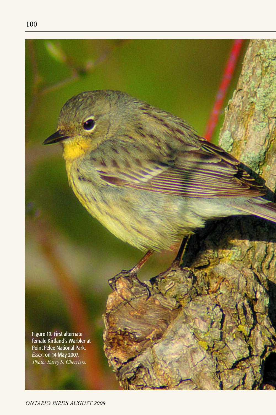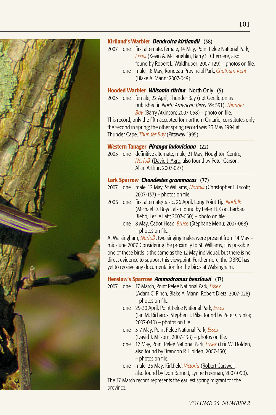

# **Kirtland's Warbler** *Dendroica kirtlandii* (38)

2007 one first alternate, female, 14 May, Point Pelee National Park, *Essex* (Kevin A. McLaughlin, Barry S. Cherriere, also found by Robert L. Waldhuber; 2007-129) – photos on file. one male, 18 May, Rondeau Provincial Park, *Chatham-Kent*  (Blake A. Mann; 2007-049).

# **Hooded Warbler** *Wilsonia citrina* North Only (5)

2005 one female, 22 April, Thunder Bay (not Geraldton as published in *North American Birds* 59: 591), *Thunder Bay* (Barry Atkinson; 2007-058) – photo on file.

This record, only the fifth accepted for northern Ontario, constitutes only the second in spring; the other spring record was 23 May 1994 at Thunder Cape, *Thunder Bay* (Pittaway 1995).

#### **Western Tanager** *Piranga ludoviciana* (22)

2005 one definitive alternate, male, 21 May, Houghton Centre, *Norfolk* (David J. Agro, also found by Peter Carson, Allan Arthur; 2007-027).

#### **Lark Sparrow** *Chondestes grammacus* (77)

- 2007 one male, 12 May, St.Williams, *Norfolk* (Christopher J. Escott; 2007-137) – photos on file.
- 2006 one first alternate/basic, 26 April, Long Point Tip, *Norfolk* (Michael D. Boyd, also found by Peter H. Coo, Barbara Bleho, Leslie Latt; 2007-050) – photo on file.
	- one 8 May, Cabot Head, *Bruce* (Stéphane Menu; 2007-068) – photos on file.

At Walsingham, *Norfolk*, two singing males were present from 14 May – mid-June 2007. Considering the proximity to St. Williams, it is possible one of these birds is the same as the 12 May individual, but there is no direct evidence to support this viewpoint. Furthermore, the OBRC has yet to receive any documentation for the birds at Walsingham.

# **Henslow's Sparrow** *Ammodramus henslowii* (17)

- 2007 one 17 March, Point Pelee National Park, *Essex* 
	- (Adam C. Pinch, Blake A. Mann, Robert Dietz; 2007-028) – photos on file.
	- one 29-30 April, Point Pelee National Park, *Essex*  (Ian M. Richards, Stephen T. Pike, found by Peter Granka; 2007-040) – photos on file.
	- one 3-7 May, Point Pelee National Park, *Essex*  (David J. Milsom; 2007-138) – photos on file.
	- one 12 May, Point Pelee National Park, *Essex* (Eric W. Holden, also found by Brandon R. Holden; 2007-130) – photos on file.
	- one male, 26 May, Kirkfield, *Victoria* (Robert Carswell, also found by Don Barnett, Lynne Freeman; 2007-090).

The 17 March record represents the earliest spring migrant for the province.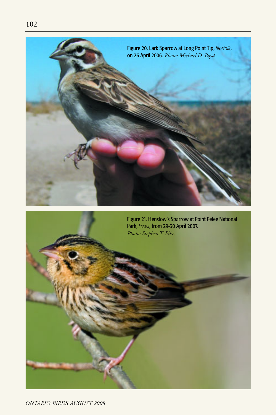



*ONTARIO BIRDS AUGUST 2008*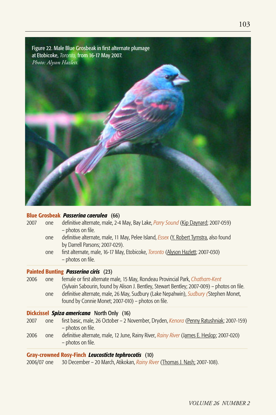

#### **Blue Grosbeak** *Passerina caerulea* (66)

|      |     | Painted Bunting <i>Passerina ciris</i> (23)<br>ooce (I Cili I I I II DI DI DI Clil IV I                            |
|------|-----|--------------------------------------------------------------------------------------------------------------------|
|      |     | - photos on file.                                                                                                  |
|      | one | by Darrell Parsons; 2007-029).<br>first alternate, male, 16-17 May, Etobicoke, Toronto (Alyson Hazlett; 2007-030)  |
|      | one | - photos on file.<br>definitive alternate, male, 11 May, Pelee Island, <i>Essex</i> (Y. Robert Tymstra, also found |
| 2007 | one | definitive alternate, male, 2-4 May, Bay Lake, <i>Parry Sound</i> (Kip Daynard; 2007-059)                          |

2006 one female or first alternate male, 15 May, Rondeau Provincial Park, *Chatham-Kent* (Sylvain Sabourin, found by Alison J. Bentley, Stewart Bentley; 2007-009) – photos on file. one definitive alternate, male, 26 May, Sudbury (Lake Nepahwin), *Sudbury (*Stephen Monet, found by Connie Monet; 2007-010) – photos on file.

#### **Dickcissel** *Spiza americana* North Only (16)

- 2007 one first basic, male, 26 October 2 November, Dryden, *Kenora* (Penny Ratushniak; 2007-159) – photos on file.
- 2006 one definitive alternate, male, 12 June, Rainy River, *Rainy River* (James E. Heslop; 2007-020) – photos on file.

# **Gray-crowned Rosy-Finch** *Leucosticte tephrocotis* (10)

2006/07 one 30 December – 20 March, Atikokan, *Rainy River* (Thomas J. Nash; 2007-108).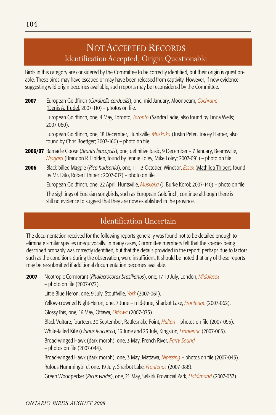Birds in this category are considered by the Committee to be correctly identified, but their origin is questionable. These birds may have escaped or may have been released from captivity. However, if new evidence suggesting wild origin becomes available, such reports may be reconsidered by the Committee.

**2007** European Goldfinch (*Carduelis carduelis*), one, mid-January, Moonbeam, *Cochrane*  (Denis A. Trudel; 2007-110) – photos on file.

> European Goldfinch, one, 4 May, Toronto, *Toronto* (Sandra Eadie, also found by Linda Wells; 2007-060).

European Goldfinch, one, 18 December, Huntsville, *Muskoka* (Justin Peter, Tracey Harper, also found by Chris Boettger; 2007-160) – photo on file.

- **2006/07** Barnacle Goose (*Branta leucopsis*), one, definitive basic, 9 December 7 January, Beamsville, *Niagara* (Brandon R. Holden, found by Jennie Foley, Mike Foley; 2007-091) – photo on file.
- **2006** Black-billed Magpie (*Pica hudsonia*), one, 11-13 October, Windsor, *Essex* (Mathilda Thibert, found by Mr. Dito, Robert Thibert; 2007-017) – photo on file.

European Goldfinch, one, 22 April, Huntsville, *Muskoka* (J. Burke Korol; 2007-140) – photo on file.

The sightings of Eurasian songbirds, such as European Goldfinch, continue although there is still no evidence to suggest that they are now established in the province.

# Identification Uncertain

The documentation received for the following reports generally was found not to be detailed enough to eliminate similar species unequivocally. In many cases, Committee members felt that the species being described probably was correctly identified, but that the details provided in the report, perhaps due to factors such as the conditions during the observation, were insufficient. It should be noted that any of these reports may be re-submitted if additional documentation becomes available.

**2007** Neotropic Cormorant (*Phalacrocorax brasilianus*), one, 17-19 July, London, *Middlesex*  – photo on file (2007-072).

Little Blue Heron, one, 9 July, Stouffville, *York* (2007-061).

Yellow-crowned Night-Heron, one, 7 June – mid-June, Sharbot Lake, *Frontenac* (2007-062).

Glossy Ibis, one, 16 May, Ottawa, *Ottawa* (2007-075).

Black Vulture, fourteen, 30 September, Rattlesnake Point, *Halton* – photos on file (2007-095).

White-tailed Kite (*Elanus leucurus*), 16 June and 23 July, Kingston, *Frontenac* (2007-063).

Broad-winged Hawk (dark morph), one, 3 May, French River, *Parry Sound*  – photos on file (2007-044).

Broad-winged Hawk (dark morph), one, 3 May, Mattawa, *Nipissing* – photos on file (2007-045). Rufous Hummingbird, one, 19 July, Sharbot Lake, *Frontenac* (2007-088).

Green Woodpecker (*Picus viridis*), one, 21 May, Selkirk Provincial Park, *Haldimand* (2007-037).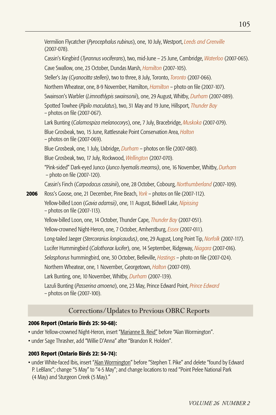Vermilion Flycatcher (*Pyrocephalus rubinus*), one, 10 July, Westport, *Leeds and Grenville*  (2007-078). Cassin's Kingbird (*Tyrannus vociferans*), two, mid-June – 25 June, Cambridge, *Waterloo* (2007-065). Cave Swallow, one, 23 October, Dundas Marsh, *Hamilton* (2007-105). Steller's Jay (*Cyanocitta stelleri)*, two to three, 8 July, Toronto, *Toronto* (2007-066). Northern Wheatear, one, 8-9 November, Hamilton, *Hamilton* – photo on file (2007-107). Swainson's Warbler (*Limnothlypis swainsonii*), one, 29 August, Whitby, *Durham* (2007-089). Spotted Towhee (*Pipilo maculatus*), two, 31 May and 19 June, Hillsport, *Thunder Bay*  – photos on file (2007-067). Lark Bunting (*Calamospiza melanocorys*), one, 7 July, Bracebridge, *Muskoka* (2007-079). Blue Grosbeak, two, 15 June, Rattlesnake Point Conservation Area, *Halton*  – photos on file (2007-069). Blue Grosbeak, one, 1 July, Uxbridge, *Durham* – photos on file (2007-080). Blue Grosbeak, two, 17 July, Rockwood, *Wellington* (2007-070). "Pink-sided" Dark-eyed Junco (*Junco hyemalis mearnsi)*, one, 16 November, Whitby, *Durham*  – photo on file (2007-120). Cassin's Finch (*Carpodacus cassinii*), one, 28 October, Cobourg, *Northumberland* (2007-109). **2006** Ross's Goose, one, 21 December, Pine Beach, *York –* photos on file (2007-112). Yellow-billed Loon (*Gavia adamsii)*, one, 11 August, Bidwell Lake, *Nipissing*  – photos on file (2007-113). Yellow-billed Loon, one, 14 October, Thunder Cape, *Thunder Bay* (2007-051). Yellow-crowned Night-Heron, one, 7 October, Amherstburg, *Essex* (2007-011). Long-tailed Jaeger (*Stercorarius longicaudus)*, one, 29 August, Long Point Tip, *Norfolk* (2007-117). Lucifer Hummingbird (*Calothorax lucifer*), one, 14 September, Ridgeway, *Niagara* (2007-016). *Selasphorus* hummingbird, one, 30 October, Belleville, *Hastings* – photo on file (2007-024). Northern Wheatear, one, 1 November, Georgetown, *Halton* (2007-019). Lark Bunting, one, 10 November, Whitby, *Durham* (2007-139). Lazuli Bunting (*Passerina amoena*), one, 23 May, Prince Edward Point, *Prince Edward* – photos on file (2007-100).

# Corrections/Updates to Previous OBRC Reports

#### **2006 Report (Ontario Birds 25: 50-68):**

- under Yellow-crowned Night-Heron, insert "Marianne B. Reid" before "Alan Wormington".
- under Sage Thrasher, add "Willie D'Anna" after "Brandon R. Holden".

#### **2003 Report (Ontario Birds 22: 54-74):**

• under White-faced Ibis, insert "Alan Wormington" before "Stephen T. Pike" and delete "found by Edward P. LeBlanc"; change "5 May" to "4-5 May"; and change locations to read "Point Pelee National Park (4 May) and Sturgeon Creek (5 May)."